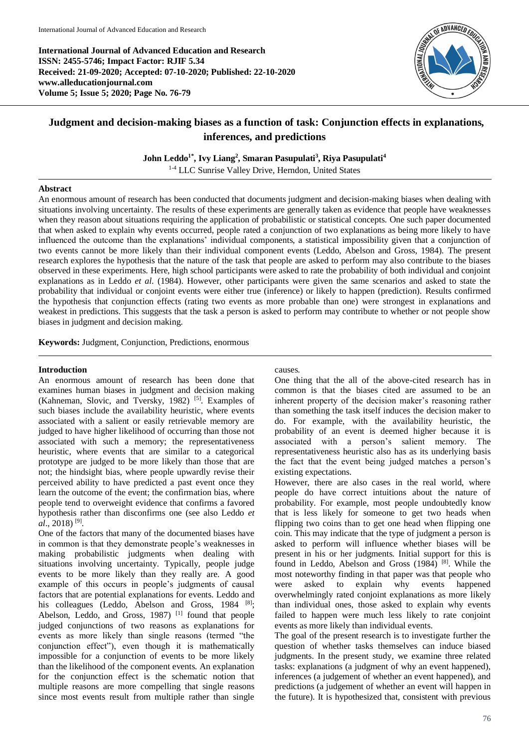**International Journal of Advanced Education and Research ISSN: 2455-5746; Impact Factor: RJIF 5.34 Received: 21-09-2020; Accepted: 07-10-2020; Published: 22-10-2020 www.alleducationjournal.com Volume 5; Issue 5; 2020; Page No. 76-79**



# **Judgment and decision-making biases as a function of task: Conjunction effects in explanations, inferences, and predictions**

**John Leddo1\* , Ivy Liang<sup>2</sup> , Smaran Pasupulati<sup>3</sup> , Riya Pasupulati<sup>4</sup>**

1-4 LLC Sunrise Valley Drive, Herndon, United States

### **Abstract**

An enormous amount of research has been conducted that documents judgment and decision-making biases when dealing with situations involving uncertainty. The results of these experiments are generally taken as evidence that people have weaknesses when they reason about situations requiring the application of probabilistic or statistical concepts. One such paper documented that when asked to explain why events occurred, people rated a conjunction of two explanations as being more likely to have influenced the outcome than the explanations' individual components, a statistical impossibility given that a conjunction of two events cannot be more likely than their individual component events (Leddo, Abelson and Gross, 1984). The present research explores the hypothesis that the nature of the task that people are asked to perform may also contribute to the biases observed in these experiments. Here, high school participants were asked to rate the probability of both individual and conjoint explanations as in Leddo *et al*. (1984). However, other participants were given the same scenarios and asked to state the probability that individual or conjoint events were either true (inference) or likely to happen (prediction). Results confirmed the hypothesis that conjunction effects (rating two events as more probable than one) were strongest in explanations and weakest in predictions. This suggests that the task a person is asked to perform may contribute to whether or not people show biases in judgment and decision making.

**Keywords:** Judgment, Conjunction, Predictions, enormous

#### **Introduction**

An enormous amount of research has been done that examines human biases in judgment and decision making (Kahneman, Slovic, and Tversky, 1982)<sup>[5]</sup>. Examples of such biases include the availability heuristic, where events associated with a salient or easily retrievable memory are judged to have higher likelihood of occurring than those not associated with such a memory; the representativeness heuristic, where events that are similar to a categorical prototype are judged to be more likely than those that are not; the hindsight bias, where people upwardly revise their perceived ability to have predicted a past event once they learn the outcome of the event; the confirmation bias, where people tend to overweight evidence that confirms a favored hypothesis rather than disconfirms one (see also Leddo *et al*., 2018) [9] .

One of the factors that many of the documented biases have in common is that they demonstrate people's weaknesses in making probabilistic judgments when dealing with situations involving uncertainty. Typically, people judge events to be more likely than they really are. A good example of this occurs in people's judgments of causal factors that are potential explanations for events. Leddo and his colleagues (Leddo, Abelson and Gross, 1984 [8]; Abelson, Leddo, and Gross, 1987)<sup>[1]</sup> found that people judged conjunctions of two reasons as explanations for events as more likely than single reasons (termed "the conjunction effect"), even though it is mathematically impossible for a conjunction of events to be more likely than the likelihood of the component events. An explanation for the conjunction effect is the schematic notion that multiple reasons are more compelling that single reasons since most events result from multiple rather than single causes.

One thing that the all of the above-cited research has in common is that the biases cited are assumed to be an inherent property of the decision maker's reasoning rather than something the task itself induces the decision maker to do. For example, with the availability heuristic, the probability of an event is deemed higher because it is associated with a person's salient memory. The representativeness heuristic also has as its underlying basis the fact that the event being judged matches a person's existing expectations.

However, there are also cases in the real world, where people do have correct intuitions about the nature of probability. For example, most people undoubtedly know that is less likely for someone to get two heads when flipping two coins than to get one head when flipping one coin. This may indicate that the type of judgment a person is asked to perform will influence whether biases will be present in his or her judgments. Initial support for this is found in Leddo, Abelson and Gross (1984)<sup>[8]</sup>. While the most noteworthy finding in that paper was that people who were asked to explain why events happened overwhelmingly rated conjoint explanations as more likely than individual ones, those asked to explain why events failed to happen were much less likely to rate conjoint events as more likely than individual events.

The goal of the present research is to investigate further the question of whether tasks themselves can induce biased judgments. In the present study, we examine three related tasks: explanations (a judgment of why an event happened), inferences (a judgement of whether an event happened), and predictions (a judgement of whether an event will happen in the future). It is hypothesized that, consistent with previous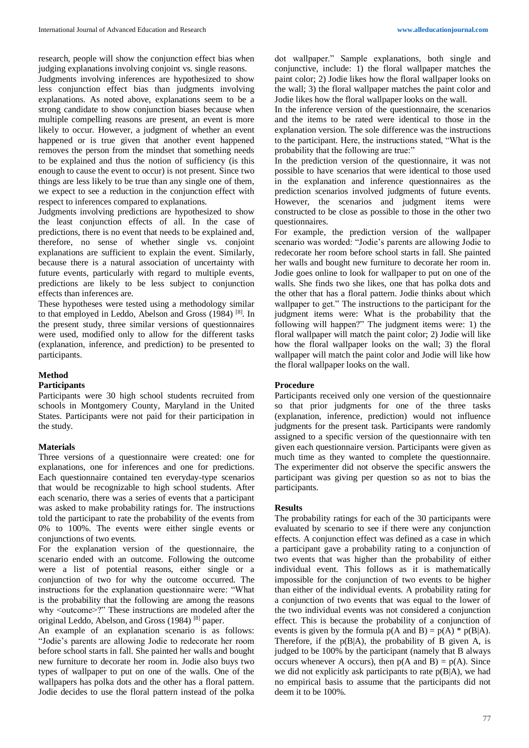research, people will show the conjunction effect bias when judging explanations involving conjoint vs. single reasons.

Judgments involving inferences are hypothesized to show less conjunction effect bias than judgments involving explanations. As noted above, explanations seem to be a strong candidate to show conjunction biases because when multiple compelling reasons are present, an event is more likely to occur. However, a judgment of whether an event happened or is true given that another event happened removes the person from the mindset that something needs to be explained and thus the notion of sufficiency (is this enough to cause the event to occur) is not present. Since two things are less likely to be true than any single one of them, we expect to see a reduction in the conjunction effect with respect to inferences compared to explanations.

Judgments involving predictions are hypothesized to show the least conjunction effects of all. In the case of predictions, there is no event that needs to be explained and, therefore, no sense of whether single vs. conjoint explanations are sufficient to explain the event. Similarly, because there is a natural association of uncertainty with future events, particularly with regard to multiple events, predictions are likely to be less subject to conjunction effects than inferences are.

These hypotheses were tested using a methodology similar to that employed in Leddo, Abelson and Gross (1984)<sup>[8]</sup>. In the present study, three similar versions of questionnaires were used, modified only to allow for the different tasks (explanation, inference, and prediction) to be presented to participants.

# **Method**

# **Participants**

Participants were 30 high school students recruited from schools in Montgomery County, Maryland in the United States. Participants were not paid for their participation in the study.

#### **Materials**

Three versions of a questionnaire were created: one for explanations, one for inferences and one for predictions. Each questionnaire contained ten everyday-type scenarios that would be recognizable to high school students. After each scenario, there was a series of events that a participant was asked to make probability ratings for. The instructions told the participant to rate the probability of the events from 0% to 100%. The events were either single events or conjunctions of two events.

For the explanation version of the questionnaire, the scenario ended with an outcome. Following the outcome were a list of potential reasons, either single or a conjunction of two for why the outcome occurred. The instructions for the explanation questionnaire were: "What is the probability that the following are among the reasons why <outcome>?" These instructions are modeled after the original Leddo, Abelson, and Gross (1984) [8] paper.

An example of an explanation scenario is as follows: "Jodie's parents are allowing Jodie to redecorate her room before school starts in fall. She painted her walls and bought new furniture to decorate her room in. Jodie also buys two types of wallpaper to put on one of the walls. One of the wallpapers has polka dots and the other has a floral pattern. Jodie decides to use the floral pattern instead of the polka

dot wallpaper." Sample explanations, both single and conjunctive, include: 1) the floral wallpaper matches the paint color; 2) Jodie likes how the floral wallpaper looks on the wall; 3) the floral wallpaper matches the paint color and Jodie likes how the floral wallpaper looks on the wall.

In the inference version of the questionnaire, the scenarios and the items to be rated were identical to those in the explanation version. The sole difference was the instructions to the participant. Here, the instructions stated, "What is the probability that the following are true:"

In the prediction version of the questionnaire, it was not possible to have scenarios that were identical to those used in the explanation and inference questionnaires as the prediction scenarios involved judgments of future events. However, the scenarios and judgment items were constructed to be close as possible to those in the other two questionnaires.

For example, the prediction version of the wallpaper scenario was worded: "Jodie's parents are allowing Jodie to redecorate her room before school starts in fall. She painted her walls and bought new furniture to decorate her room in. Jodie goes online to look for wallpaper to put on one of the walls. She finds two she likes, one that has polka dots and the other that has a floral pattern. Jodie thinks about which wallpaper to get." The instructions to the participant for the judgment items were: What is the probability that the following will happen?" The judgment items were: 1) the floral wallpaper will match the paint color; 2) Jodie will like how the floral wallpaper looks on the wall; 3) the floral wallpaper will match the paint color and Jodie will like how the floral wallpaper looks on the wall.

#### **Procedure**

Participants received only one version of the questionnaire so that prior judgments for one of the three tasks (explanation, inference, prediction) would not influence judgments for the present task. Participants were randomly assigned to a specific version of the questionnaire with ten given each questionnaire version. Participants were given as much time as they wanted to complete the questionnaire. The experimenter did not observe the specific answers the participant was giving per question so as not to bias the participants.

#### **Results**

The probability ratings for each of the 30 participants were evaluated by scenario to see if there were any conjunction effects. A conjunction effect was defined as a case in which a participant gave a probability rating to a conjunction of two events that was higher than the probability of either individual event. This follows as it is mathematically impossible for the conjunction of two events to be higher than either of the individual events. A probability rating for a conjunction of two events that was equal to the lower of the two individual events was not considered a conjunction effect. This is because the probability of a conjunction of events is given by the formula  $p(A \text{ and } B) = p(A) * p(B|A)$ . Therefore, if the  $p(B|A)$ , the probability of B given A, is judged to be 100% by the participant (namely that B always occurs whenever A occurs), then  $p(A \text{ and } B) = p(A)$ . Since we did not explicitly ask participants to rate  $p(B|A)$ , we had no empirical basis to assume that the participants did not deem it to be 100%.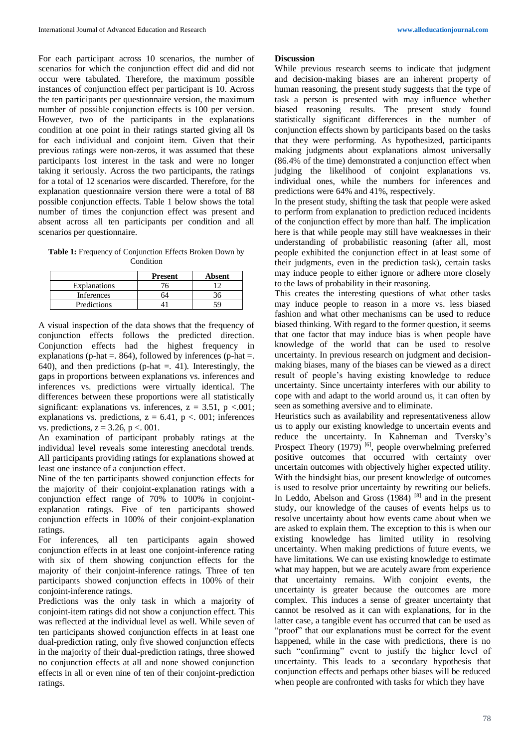For each participant across 10 scenarios, the number of scenarios for which the conjunction effect did and did not occur were tabulated. Therefore, the maximum possible instances of conjunction effect per participant is 10. Across the ten participants per questionnaire version, the maximum number of possible conjunction effects is 100 per version. However, two of the participants in the explanations condition at one point in their ratings started giving all 0s for each individual and conjoint item. Given that their previous ratings were non-zeros, it was assumed that these participants lost interest in the task and were no longer taking it seriously. Across the two participants, the ratings for a total of 12 scenarios were discarded. Therefore, for the explanation questionnaire version there were a total of 88 possible conjunction effects. Table 1 below shows the total number of times the conjunction effect was present and absent across all ten participants per condition and all scenarios per questionnaire.

**Table 1:** Frequency of Conjunction Effects Broken Down by Condition

|                     | <b>Present</b> | Absent |
|---------------------|----------------|--------|
| <b>Explanations</b> |                |        |
| Inferences          |                |        |
| Predictions         |                | ۲Ο.    |

A visual inspection of the data shows that the frequency of conjunction effects follows the predicted direction. Conjunction effects had the highest frequency in explanations (p-hat  $=$ , 864), followed by inferences (p-hat  $=$ . 640), and then predictions (p-hat  $=$ , 41). Interestingly, the gaps in proportions between explanations vs. inferences and inferences vs. predictions were virtually identical. The differences between these proportions were all statistically significant: explanations vs. inferences,  $z = 3.51$ ,  $p < .001$ ; explanations vs. predictions,  $z = 6.41$ ,  $p < 0.01$ ; inferences vs. predictions,  $z = 3.26$ ,  $p < .001$ .

An examination of participant probably ratings at the individual level reveals some interesting anecdotal trends. All participants providing ratings for explanations showed at least one instance of a conjunction effect.

Nine of the ten participants showed conjunction effects for the majority of their conjoint-explanation ratings with a conjunction effect range of 70% to 100% in conjointexplanation ratings. Five of ten participants showed conjunction effects in 100% of their conjoint-explanation ratings.

For inferences, all ten participants again showed conjunction effects in at least one conjoint-inference rating with six of them showing conjunction effects for the majority of their conjoint-inference ratings. Three of ten participants showed conjunction effects in 100% of their conjoint-inference ratings.

Predictions was the only task in which a majority of conjoint-item ratings did not show a conjunction effect. This was reflected at the individual level as well. While seven of ten participants showed conjunction effects in at least one dual-prediction rating, only five showed conjunction effects in the majority of their dual-prediction ratings, three showed no conjunction effects at all and none showed conjunction effects in all or even nine of ten of their conjoint-prediction ratings.

#### **Discussion**

While previous research seems to indicate that judgment and decision-making biases are an inherent property of human reasoning, the present study suggests that the type of task a person is presented with may influence whether biased reasoning results. The present study found statistically significant differences in the number of conjunction effects shown by participants based on the tasks that they were performing. As hypothesized, participants making judgments about explanations almost universally (86.4% of the time) demonstrated a conjunction effect when judging the likelihood of conjoint explanations vs. individual ones, while the numbers for inferences and predictions were 64% and 41%, respectively.

In the present study, shifting the task that people were asked to perform from explanation to prediction reduced incidents of the conjunction effect by more than half. The implication here is that while people may still have weaknesses in their understanding of probabilistic reasoning (after all, most people exhibited the conjunction effect in at least some of their judgments, even in the prediction task), certain tasks may induce people to either ignore or adhere more closely to the laws of probability in their reasoning.

This creates the interesting questions of what other tasks may induce people to reason in a more vs. less biased fashion and what other mechanisms can be used to reduce biased thinking. With regard to the former question, it seems that one factor that may induce bias is when people have knowledge of the world that can be used to resolve uncertainty. In previous research on judgment and decisionmaking biases, many of the biases can be viewed as a direct result of people's having existing knowledge to reduce uncertainty. Since uncertainty interferes with our ability to cope with and adapt to the world around us, it can often by seen as something aversive and to eliminate.

Heuristics such as availability and representativeness allow us to apply our existing knowledge to uncertain events and reduce the uncertainty. In Kahneman and Tversky's Prospect Theory (1979)<sup>[6]</sup>, people overwhelming preferred positive outcomes that occurred with certainty over uncertain outcomes with objectively higher expected utility. With the hindsight bias, our present knowledge of outcomes is used to resolve prior uncertainty by rewriting our beliefs. In Leddo, Abelson and Gross  $(1984)$ <sup>[8]</sup> and in the present study, our knowledge of the causes of events helps us to resolve uncertainty about how events came about when we are asked to explain them. The exception to this is when our existing knowledge has limited utility in resolving uncertainty. When making predictions of future events, we have limitations. We can use existing knowledge to estimate what may happen, but we are acutely aware from experience that uncertainty remains. With conjoint events, the uncertainty is greater because the outcomes are more complex. This induces a sense of greater uncertainty that cannot be resolved as it can with explanations, for in the latter case, a tangible event has occurred that can be used as "proof" that our explanations must be correct for the event happened, while in the case with predictions, there is no such "confirming" event to justify the higher level of uncertainty. This leads to a secondary hypothesis that conjunction effects and perhaps other biases will be reduced when people are confronted with tasks for which they have